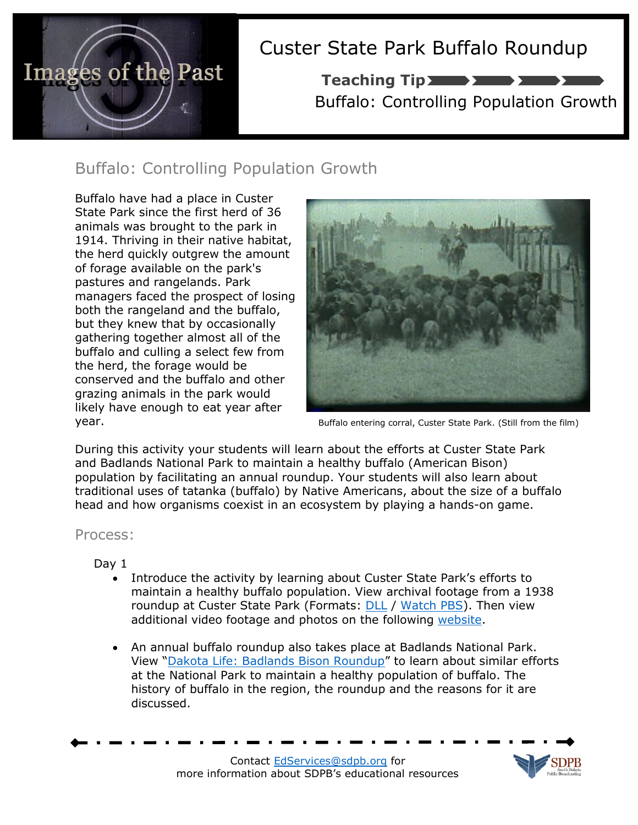

# Custer State Park Buffalo Roundup

Buffalo: Controlling Population Growth Teaching Tip **The Season** 

### Buffalo: Controlling Population Growth

Buffalo have had a place in Custer State Park since the first herd of 36 animals was brought to the park in 1914. Thriving in their native habitat, the herd quickly outgrew the amount of forage available on the park's pastures and rangelands. Park managers faced the prospect of losing both the rangeland and the buffalo, but they knew that by occasionally gathering together almost all of the buffalo and culling a select few from the herd, the forage would be conserved and the buffalo and other grazing animals in the park would likely have enough to eat year after year.



Buffalo entering corral, Custer State Park. (Still from the film)

During this activity your students will learn about the efforts at Custer State Park and Badlands National Park to maintain a healthy buffalo (American Bison) population by facilitating an annual roundup. Your students will also learn about traditional uses of tatanka (buffalo) by Native Americans, about the size of a buffalo head and how organisms coexist in an ecosystem by playing a hands-on game.

### Process:

Day 1

- Introduce the activity by learning about Custer State Park's efforts to maintain a healthy buffalo population. View archival footage from a 1938 roundup at Custer State Park (Formats: **[DLL](http://pbsdll.k12.sd.us/Asset.aspx?ID=769&C=All&G=All&S=roundup%20custer)** / [Watch PBS\)](http://watch.sdpb.org/video/2365307374/). Then view additional video footage and photos on the following [website.](http://www.sdpb.org/blogs/images-of-the-past/the-custer-state-park-buffalo-roundup/)
- An annual buffalo roundup also takes place at Badlands National Park. View "[Dakota Life: Badlands Bison Roundup](http://pbsdll.k12.sd.us/Asset.aspx?ID=73&C=All&G=All&S=roundup)" to learn about similar efforts at the National Park to maintain a healthy population of buffalo. The history of buffalo in the region, the roundup and the reasons for it are discussed.